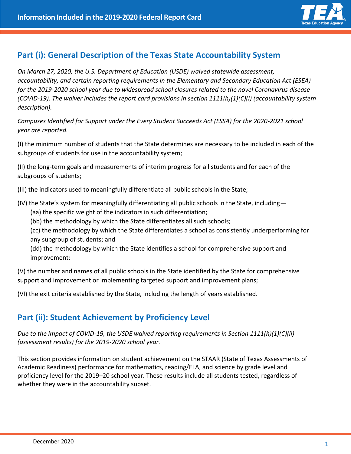

### **Part (i): General Description of the Texas State Accountability System**

*On March 27, 2020, the U.S. Department of Education (USDE) waived statewide assessment, accountability, and certain reporting requirements in the Elementary and Secondary Education Act (ESEA) for the 2019-2020 school year due to widespread school closures related to the novel Coronavirus disease (COVID-19). The waiver includes the report card provisions in section 1111(h)(1)(C)(i) (accountability system description).*

*Campuses Identified for Support under the Every Student Succeeds Act (ESSA) for the 2020-2021 school year are reported.*

(I) the minimum number of students that the State determines are necessary to be included in each of the subgroups of students for use in the accountability system;

(II) the long-term goals and measurements of interim progress for all students and for each of the subgroups of students;

(III) the indicators used to meaningfully differentiate all public schools in the State;

(IV) the State's system for meaningfully differentiating all public schools in the State, including—

- (aa) the specific weight of the indicators in such differentiation;
- (bb) the methodology by which the State differentiates all such schools;

(cc) the methodology by which the State differentiates a school as consistently underperforming for any subgroup of students; and

(dd) the methodology by which the State identifies a school for comprehensive support and improvement;

(V) the number and names of all public schools in the State identified by the State for comprehensive support and improvement or implementing targeted support and improvement plans;

(VI) the exit criteria established by the State, including the length of years established.

## **Part (ii): Student Achievement by Proficiency Level**

*Due to the impact of COVID-19, the USDE waived reporting requirements in Section 1111(h)(1)(C)(ii) (assessment results) for the 2019-2020 school year.*

This section provides information on student achievement on the STAAR (State of Texas Assessments of Academic Readiness) performance for mathematics, reading/ELA, and science by grade level and proficiency level for the 2019–20 school year. These results include all students tested, regardless of whether they were in the accountability subset.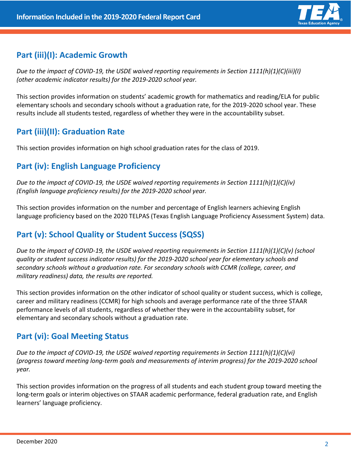

# **Part (iii)(I): Academic Growth**

*Due to the impact of COVID-19, the USDE waived reporting requirements in Section 1111(h)(1)(C)(iii)(I) (other academic indicator results) for the 2019-2020 school year.*

This section provides information on students' academic growth for mathematics and reading/ELA for public elementary schools and secondary schools without a graduation rate, for the 2019-2020 school year. These results include all students tested, regardless of whether they were in the accountability subset.

# **Part (iii)(II): Graduation Rate**

This section provides information on high school graduation rates for the class of 2019.

# **Part (iv): English Language Proficiency**

*Due to the impact of COVID-19, the USDE waived reporting requirements in Section 1111(h)(1)(C)(iv) (English language proficiency results) for the 2019-2020 school year.*

This section provides information on the number and percentage of English learners achieving English language proficiency based on the 2020 TELPAS (Texas English Language Proficiency Assessment System) data.

## **Part (v): School Quality or Student Success (SQSS)**

*Due to the impact of COVID-19, the USDE waived reporting requirements in Section 1111(h)(1)(C)(v) (school quality or student success indicator results) for the 2019-2020 school year for elementary schools and secondary schools without a graduation rate. For secondary schools with CCMR (college, career, and military readiness) data, the results are reported.*

This section provides information on the other indicator of school quality or student success, which is college, career and military readiness (CCMR) for high schools and average performance rate of the three STAAR performance levels of all students, regardless of whether they were in the accountability subset, for elementary and secondary schools without a graduation rate.

## **Part (vi): Goal Meeting Status**

*Due to the impact of COVID-19, the USDE waived reporting requirements in Section 1111(h)(1)(C)(vi) (progress toward meeting long-term goals and measurements of interim progress) for the 2019-2020 school year.*

This section provides information on the progress of all students and each student group toward meeting the long-term goals or interim objectives on STAAR academic performance, federal graduation rate, and English learners' language proficiency.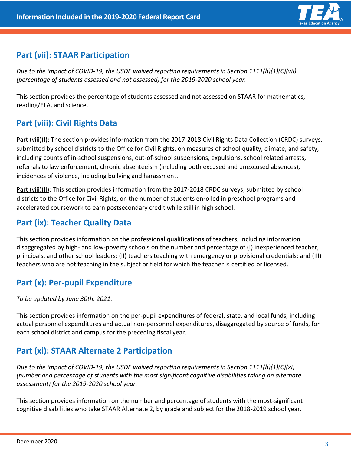

## **Part (vii): STAAR Participation**

*Due to the impact of COVID-19, the USDE waived reporting requirements in Section 1111(h)(1)(C)(vii) (percentage of students assessed and not assessed) for the 2019-2020 school year.*

This section provides the percentage of students assessed and not assessed on STAAR for mathematics, reading/ELA, and science.

# **Part (viii): Civil Rights Data**

Part (viii)(I): The section provides information from the 2017-2018 Civil Rights Data Collection (CRDC) surveys, submitted by school districts to the Office for Civil Rights, on measures of school quality, climate, and safety, including counts of in-school suspensions, out-of-school suspensions, expulsions, school related arrests, referrals to law enforcement, chronic absenteeism (including both excused and unexcused absences), incidences of violence, including bullying and harassment.

Part (viii)(II): This section provides information from the 2017-2018 CRDC surveys, submitted by school districts to the Office for Civil Rights, on the number of students enrolled in preschool programs and accelerated coursework to earn postsecondary credit while still in high school.

## **Part (ix): Teacher Quality Data**

This section provides information on the professional qualifications of teachers, including information disaggregated by high- and low-poverty schools on the number and percentage of (I) inexperienced teacher, principals, and other school leaders; (II) teachers teaching with emergency or provisional credentials; and (III) teachers who are not teaching in the subject or field for which the teacher is certified or licensed.

## **Part (x): Per-pupil Expenditure**

*To be updated by June 30th, 2021.*

This section provides information on the per-pupil expenditures of federal, state, and local funds, including actual personnel expenditures and actual non-personnel expenditures, disaggregated by source of funds, for each school district and campus for the preceding fiscal year.

## **Part (xi): STAAR Alternate 2 Participation**

*Due to the impact of COVID-19, the USDE waived reporting requirements in Section 1111(h)(1)(C)(xi) (number and percentage of students with the most significant cognitive disabilities taking an alternate assessment) for the 2019-2020 school year.*

This section provides information on the number and percentage of students with the most-significant cognitive disabilities who take STAAR Alternate 2, by grade and subject for the 2018-2019 school year.